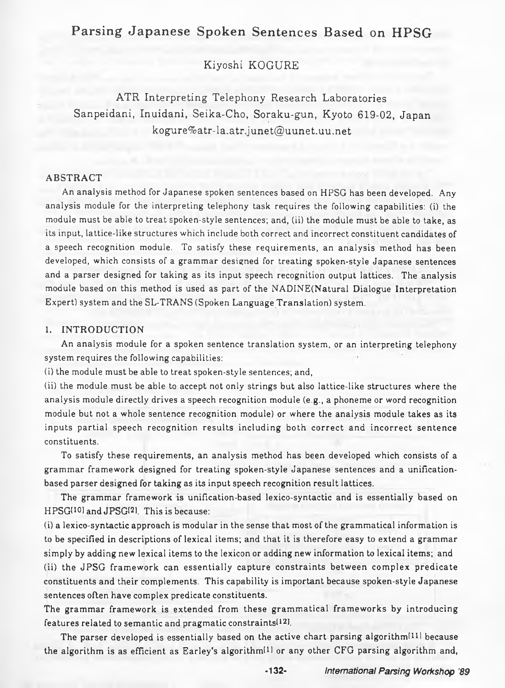# **Parsing Japanese Spoken Sentences Based on HPSG**

Kiyoshi KOGURE

ATR Interpreting Telephony Research Laboratories Sanpeidani, Inuidani, Seika-Cho, Soraku-gun, Kyoto 619-02, Japan kogure%atr-la. [atr.junet@ uunet.uu.net](mailto:atr.junet@uunet.uu.net)

#### ABSTRACT

An analysis method for Japanese spoken sentences based on HPSG has been developed. Any analysis module for the interpreting telephony task requires the following capabilities: (i) the module must be able to treat spoken-style sentences; and, (ii) the module must be able to take, as its input, lattice-like structures which include both correct and incorrect constituent candidates of a speech recognition module. To satisfy these requirements, an analysis method has been developed, which consists of a grammar designed for treating spoken-style Japanese sentences and a parser designed for taking as its input speech recognition output lattices. The analysis module based on this method is used as part of the NADINE(Natural Dialogue Interpretation Expert) system and the SL-TRANS (Spoken Language Translation) system.

## 1. INTRODUCTION

An analysis module for a spoken sentence translation system, or an interpreting telephony system requires the following capabilities:

(i) the module must be able to treat spoken-style sentences; and,

(ii) the module must be able to accept not only strings but also lattice-like structures where the analysis module directly drives a speech recognition module (e.g., a phoneme or word recognition module but not a whole sentence recognition module) or where the analysis module takes as its inputs partial speech recognition results including both correct and incorrect sentence constituents.

To satisfy these requirements, an analysis method has been developed which consists of a grammar framework designed for treating spoken-style Japanese sentences and a unificationbased parser designed for taking as its input speech recognition result lattices.

The grammar framework is unification-based lexico-syntactic and is essentially based on HPSG<sup>[10]</sup> and JPSG<sup>[2]</sup>. This is because:

(i) a lexico-syntactic approach is modular in the sense that most of the grammatical information is to be specified in descriptions of lexical items; and that it is therefore easy to extend a grammar simply by adding new lexical items to the lexicon or adding new information to lexical items; and (ii) the JPSG framework can essentially capture constraints between complex predicate

constituents and their complements. This capability is important because spoken-style Japanese sentences often have complex predicate constituents.

The grammar framework is extended from these grammatical frameworks by introducing features related to semantic and pragmatic constraints<sup>[12]</sup>.

The parser developed is essentially based on the active chart parsing algorithm<sup>[11]</sup> because the algorithm is as efficient as Earley's algorithm<sup>[1]</sup> or any other CFG parsing algorithm and,

**-132-** *Intemational Parsing Workshop '89*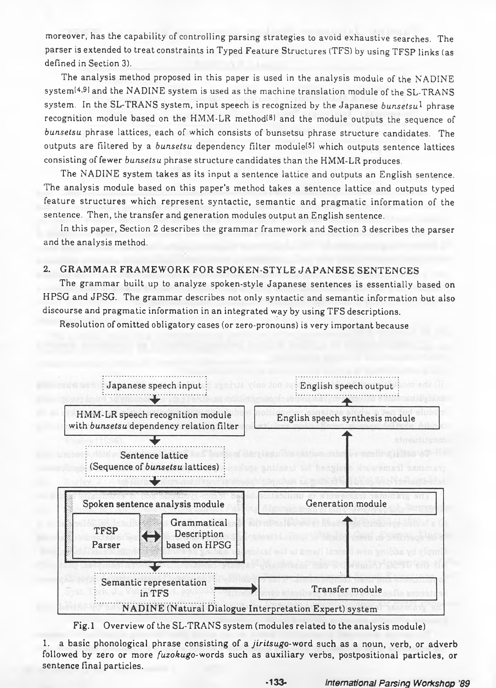moreover, has the capability of controlling parsing strategies to avoid exhaustive searches. The parser is extended to treat constraints in Typed Feature Structures (TFS) by using TFSP links (as defined in Section 3).

The analysis method proposed in this paper is used in the analysis module of the NADINE system[4-9i and the NADINE system is used as the machine translation module of the SL-TRANS system. In the SL-TRANS system, input speech is recognized by the Japanese *bunsetsu*1 phrase recognition module based on the HMM-LR method<sup>[8]</sup> and the module outputs the sequence of *bunsetsu* phrase lattices, each of which consists of bunsetsu phrase structure candidates. The outputs are filtered by a *bunsetsu* dependency filter module(51 which outputs sentence lattices consisting of fewer *bunsetsu* phrase structure candidates than the HMM-LR produces.

The NADINE system takes as its input a sentence lattice and outputs an English sentence. The analysis module based on this paper's method takes a sentence lattice and outputs typed feature structures which represent syntactic, semantic and pragmatic information of the sentence. Then, the transfer and generation modules output an English sentence.

In this paper, Section 2 describes the grammar framework and Section 3 describes the parser and the analysis method.

## 2. GRAMMAR FRAMEWORK FOR SPOKEN-STYLE JAPANESE SENTENCES

The grammar built up to analyze spoken-style Japanese sentences is essentially based on HPSG and JPSG. The grammar describes not only syntactic and semantic information but also discourse and pragmatic information in an integrated way by using TFS descriptions.

Resolution of omitted obligatory cases (or zero-pronouns) is very important because



Fig. 1 Overview of the SL-TRANS system (modules related to the analysis module)

1. a basic phonological phrase consisting of a *jiritsugo-word* such as a noun, verb, or adverb followed by zero or more *fuzokugo-words* such as auxiliary verbs, postpositional particles, or sentence final particles.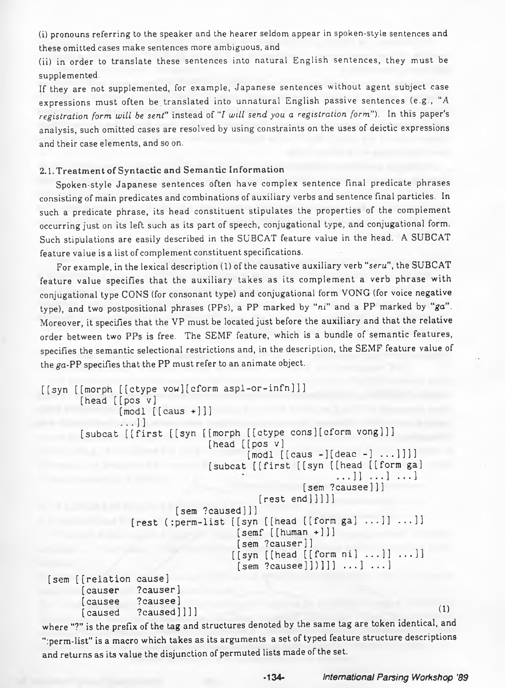(i) pronouns referring to the speaker and the hearer seldom appear in spoken-style sentences and these omitted cases make sentences more ambiguous, and

(ii) in order to translate these sentences into natural English sentences, they must be supplemented.

If they are not supplemented, for example, Japanese sentences without agent subject case expressions must often be translated into unnatural English passive sentences (e.g., "A *registration form will be sent*" instead of *"I will send you a registration form').* In this paper's analysis, such omitted cases are resolved by using constraints on the uses of deictic expressions and their case elements, and so on.

#### **2.1. Treatment of Syntactic and Semantic Information**

Spoken-style Japanese sentences often have complex sentence final predicate phrases consisting of main predicates and combinations of auxiliary verbs and sentence final particles. In such a predicate phrase, its head constituent stipulates the properties of the complement occurring just on its left such as its part of speech, conjugational type, and conjugational form. Such stipulations are easily described in the SUBCAT feature value in the head. A SUBCAT feature value is a list of complement constituent specifications.

For example, in the lexical description (1) of the causative auxiliary verb "*seru*", the SUBCAT feature value specifies that the auxiliary takes as its complement a verb phrase with conjugational type CONS (for consonant type) and conjugational form VONG (for voice negative type), and two postpositional phrases (PPs), a PP marked by "ni" and a PP marked by "ga". Moreover, it specifies that the VP must be located just before the auxiliary and that the relative order between two PPs is free. The SEMF feature, which is a bundle of semantic features, specifies the semantic selectional restrictions and, in the description, the SEMF feature value of the *ga*-PP specifies that the PP must refer to an animate object.

```
[[syn [[morph [[ctype vow][cform aspl-or-infn]]]
      [head [[pos v]
             [modl [caus +]]]\ldots]]
      [subcat [[first [[syn [[morph [[ctype cons][cform vong]]]
                             [head [[pos v]
                                   [modi [[caus -][deac -] ...]]]]
                             [subcat [[first [[syn [[head [[form ga]
                                                   ...]] ...] ...]
                                             [sem ?causee] ] ]
                                     [rest end]]]][sem ?caused]]]
               [rest (:perm-list [[syn [[head [[formga] ...]] ...]]
                                 [semf [[human +]]][sem ?causer]]
                                [[sym [[head [[form ni] ...]] ...]][sem ?causee]])]]] \dots] \dots]
 [sem [[relation cause]
      [causer ?causer]
      [causee ?causee]
       [caused \quad ?caused ]]] ]
```
where "?" is the prefix of the tag and structures denoted by the same tag are token identical, and ":perm-list" is a macro which takes as its arguments a set of typed feature structure descriptions and returns as its value the disjunction of permuted lists made of the set.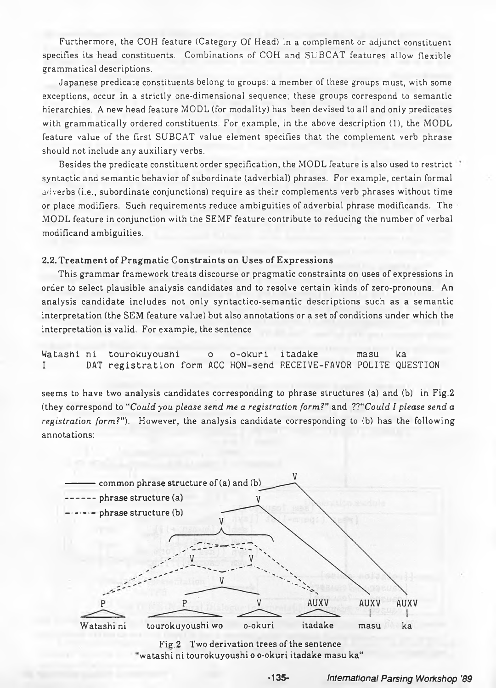Furthermore, the COH feature (Category Of Head) in a complement or adjunct constituent specifies its head constituents. Combinations of COH and SUBCAT features allow flexible **gram m atical descriptions.**

**Japanese predicate constituents belong to groups: a member of these groups must, with some** exceptions, occur in a strictly one-dimensional sequence; these groups correspond to semantic hierarchies. A new head feature MODL (for modality) has been devised to all and only predicates with grammatically ordered constituents. For example, in the above description (1), the MODL feature value of the first SUBCAT value element specifies that the complement verb phrase should not include any auxiliary verbs.

Besides the predicate constituent order specification, the MODL feature is also used to restrict<sup>+</sup> syntactic and semantic behavior of subordinate (adverbial) phrases. For example, certain formal adverbs (i.e., subordinate conjunctions) require as their complements verb phrases without time or place modifiers. Such requirements reduce ambiguities of adverbial phrase modificands. The **M O D L feature in conjunction w ith the SE M F feature contribute to reducing the num ber of verbal m odificand am b igu ities.**

## 2.2. Treatment of Pragmatic Constraints on Uses of Expressions

This grammar framework treats discourse or pragmatic constraints on uses of expressions in order to select plausible analysis candidates and to resolve certain kinds of zero-pronouns. An analysis candidate includes not only syntactico-semantic descriptions such as a semantic interpretation (the SEM feature value) but also annotations or a set of conditions under which the interpretation is valid. For example, the sentence

Watashi ni tourokuyoushi o o-okuri itadake masu ka DAT registration form ACC HON-send RECEIVE-FAVOR POLITE QUESTION

seems to have two analysis candidates corresponding to phrase structures (a) and (b) in Fig.2 (they correspond to "*Could you please send me a registration form?"* and *IT'Could I please send a registration form?").* However, the analysis candidate corresponding to (b) has the following annotations:



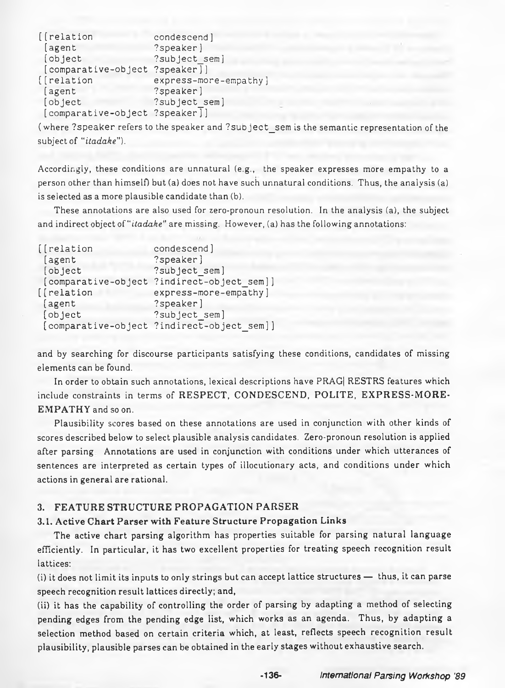```
[[ relation condescend]
[agent ?speaker]
[object ?subject sem]
[compactive-object][ [ relation express-more-empathy ]
[agent ?speaker]
[object ? subject sem]
[comparative-object ?speaker]]
```
(where ? speaker refers to the speaker and ? subject sem is the semantic representation of the subject of "*itadake*").

Accordingly, these conditions are unnatural (e.g., the speaker expresses more empathy to a person other than himself) but (a) does not have such unnatural conditions. Thus, the analysis (a) is selected as a more plausible candidate than (b).

These annotations are also used for zero-pronoun resolution. In the analysis (a), the subject and indirect object of "*itadake*" are missing. However, (a) has the following annotations:

| [[relation]         | condescend]                                |
|---------------------|--------------------------------------------|
| [agent              | ?speaker]                                  |
| [object             | ?subject sem]                              |
| [comparative-object | ?indirect-object sem]]                     |
| [[relation          | express-more-empathy]                      |
| [agent              | ?speaker]                                  |
| [object             | ?subject_sem]                              |
|                     | [comparative-object ?indirect-object sem]] |

and by searching for discourse participants satisfying these conditions, candidates of missing elements can be found.

In order to obtain such annotations, lexical descriptions have PRAG| RESTRS features which include constraints in terms of **RESPECT, CONDESCEND, POLITE, EXPRESS-MORE-EMPATHY** and so on.

Plausibility scores based on these annotations are used in conjunction with other kinds of scores described below to select plausible analysis candidates. Zero-pronoun resolution is applied after parsing Annotations are used in conjunction with conditions under which utterances of sentences are interpreted as certain types of illocutionary acts, and conditions under which actions in general are rational.

## **3. FEATURE STRUCTURE PROPAGATION PARSER**

#### **3.1. Active Chart Parser with Feature Structure Propagation Links**

The active chart parsing algorithm has properties suitable for parsing natural language efficiently. In particular, it has two excellent properties for treating speech recognition result lattices:

(i) it does not limit its inputs to only strings but can accept lattice structures — thus, it can parse speech recognition result lattices directly; and,

(ii) it has the capability of controlling the order of parsing by adapting a method of selecting pending edges from the pending edge list, which works as an agenda. Thus, by adapting a selection method based on certain criteria which, at least, reflects speech recognition result plausibility, plausible parses can be obtained in the early stages without exhaustive search.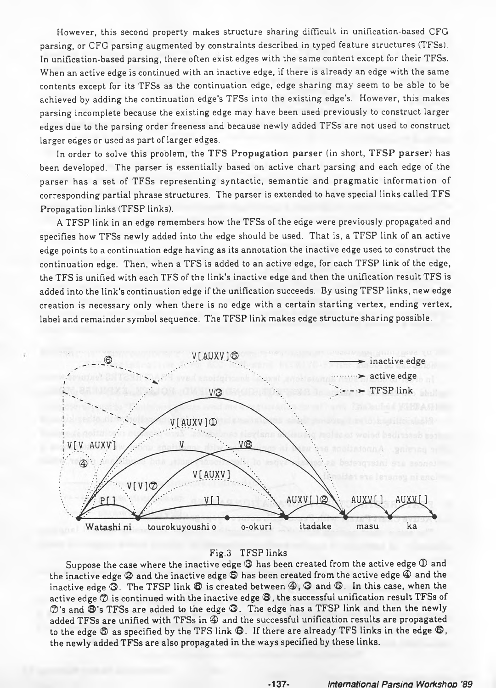However, this second property makes structure sharing difficult in unification-based CFG parsing, or CFG parsing augmented by constraints described in typed feature structures (TFSs). In unification-based parsing, there often exist edges with the same content except for their TFSs. When an active edge is continued with an inactive edge, if there is already an edge with the same contents except for its TFSs as the continuation edge, edge sharing may seem to be able to be achieved by adding the continuation edge's TFSs into the existing edge's. However, this makes parsing incomplete because the existing edge may have been used previously to construct larger edges due to the parsing order freeness and because newly added TFSs are not used to construct larger edges or used as part of larger edges.

In order to solve this problem, the TFS Propagation parser (in short, TFSP parser) has been developed. The parser is essentially based on active chart parsing and each edge of the parser has a set of TFSs representing syntactic, semantic and pragmatic information of corresponding partial phrase structures. The parser is extended to have special links called TFS Propagation links (TFSP links).

A TFSP link in an edge remembers how the TFSs of the edge were previously propagated and specifies how TFSs newly added into the edge should be used. That is, a TFSP link of an active edge points to a continuation edge having as its annotation the inactive edge used to construct the continuation edge. Then, when a TFS is added to an active edge, for each TFSP link of the edge, the TFS is unified with each TFS of the link's inactive edge and then the unification result TFS is added into the link's continuation edge if the unification succeeds. By using TFSP links, new edge creation is necessary only when there is no edge with a certain starting vertex, ending vertex, label and remainder symbol sequence. The TFSP link makes edge structure sharing possible.



#### Fig.3 TFSP links

Suppose the case where the inactive edge  $\bigcirc$  has been created from the active edge  $\mathbb O$  and the inactive edge G and the inactive edge © has been created from the active edge *®* and the inactive edge  $\mathfrak{D}$ . The TFSP link  $\mathfrak{D}$  is created between  $\mathfrak{D}$ ,  $\mathfrak{D}$  and  $\mathfrak{D}$ . In this case, when the active edge  $\mathcal D$  is continued with the inactive edge  $\mathfrak G$ , the successful unification result TFSs of  $\mathcal{D}'$ 's and  $\mathfrak{B}'$ 's TFSs are added to the edge  $\mathfrak{D}$ . The edge has a TFSP link and then the newly added TFSs are unified with TFSs in *®* and the successful unification results are propagated to the edge  $\mathfrak{D}$  as specified by the TFS link  $\mathfrak{D}$ . If there are already TFS links in the edge  $\mathfrak{D}$ , the newly added TFSs are also propagated in the ways specified by these links.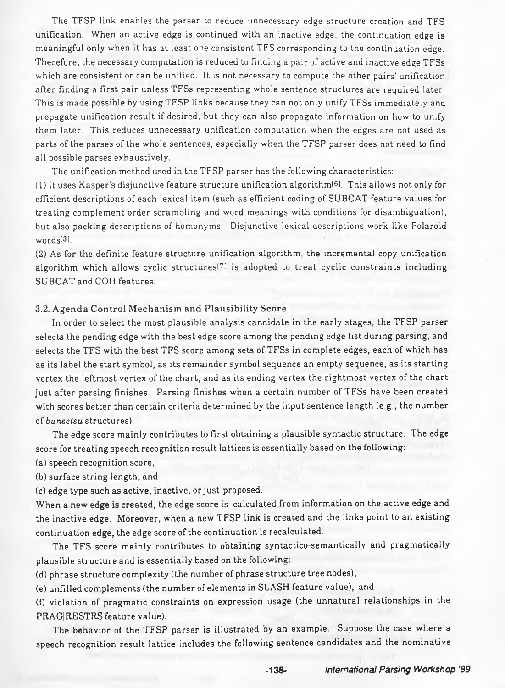The TFSP link enables the parser to reduce unnecessary edge structure creation and TFS unification. When an active edge is continued with an inactive edge, the continuation edge is meaningful only when it has at least one consistent TFS corresponding to the continuation edge. Therefore, the necessary computation is reduced to finding a pair of active and inactive edge TFSs which are consistent or can be unified. It is not necessary to compute the other pairs' unification after finding a first pair unless TFSs representing whole sentence structures are required later. This is made possible by using TFSP links because they can not only unify TFSs immediately and propagate unification result if desired, but they can also propagate information on how to unify them later. This reduces unnecessary unification computation when the edges are not used as parts of the parses of the whole sentences, especially when the TFSP parser does not need to find all possible parses exhaustively.

The unification method used in the TFSP parser has the following characteristics:

(1) It uses Kasper's disjunctive feature structure unification algorithm^). This allows not only for efficient descriptions of each lexical item (such as efficient coding of SUBCAT feature values for treating complement order scrambling and word meanings with conditions for disambiguation), but also packing descriptions of homonyms. Disjunctive lexical descriptions work like Polaroid words<sup>[3]</sup>.

(2) As for the definite feature structure unification algorithm, the incremental copy unification algorithm which allows cyclic structures<sup>[7]</sup> is adopted to treat cyclic constraints including SUBCAT and COH features.

### **3.2. Agenda Control Mechanism and Plausibility Score**

In order to select the most plausible analysis candidate in the early stages, the TFSP parser selects the pending edge with the best edge score among the pending edge list during parsing, and selects the TFS with the best TFS score among sets of TFSs in complete edges, each of which has as its label the start symbol, as its remainder symbol sequence an empty sequence, as its starting vertex the leftmost vertex of the chart, and as its ending vertex the rightmost vertex of the chart just after parsing finishes. Parsing finishes when a certain number of TFSs have been created with scores better than certain criteria determined by the input sentence length (e.g., the number of *bunsetsu* structures).

The edge score mainly contributes to first obtaining a plausible syntactic structure. The edge score for treating speech recognition result lattices is essentially based on the following:

(a) speech recognition score,

(b) surface string length, and

(c) edge type such as active, inactive, or just-proposed.

When a new edge is created, the edge score is calculated from information on the active edge and the inactive edge. Moreover, when a new TFSP link is created and the links point to an existing continuation edge, the edge score of the continuation is recalculated.

The TFS score mainly contributes to obtaining syntactico-semantically and pragmatically plausible structure and is essentially based on the following:

(d) phrase structure complexity (the number of phrase structure tree nodes),

(e) unfilled complements (the number of elements in SLASH feature value), and

(0 violation of pragmatic constraints on expression usage (the unnatural relationships in the PRAG|RESTRS feature value).

The behavior of the TFSP parser is illustrated by an example. Suppose the case where a speech recognition result lattice includes the following sentence candidates and the nominative

**-138-** *International Parsing Workshop '89*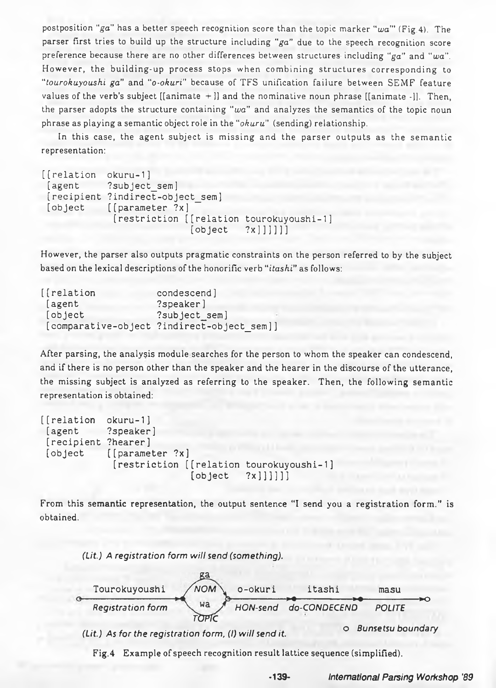postposition "*ga*" has a better speech recognition score than the topic marker *"wa'"* (Fig.4). The parser first tries to build up the structure including *"ga"* due to the speech recognition score preference because there are no other differences between structures including *"ga"* and *"wa".* However, the building-up process stops when combining structures corresponding to "*tour okay oils hi ga"* and "*o-okuri*" because of TFS unification failure between SEMF feature values of the verb's subject  $[$ [animate +]] and the nominative noun phrase  $[$ [animate -]]. Then, the parser adopts the structure containing "*wa*" and analyzes the semantics of the topic noun phrase as playing a semantic object role in the "*okuru"* (sending) relationship.

In this case, the agent subject is missing and the parser outputs as the semantic representation:

```
[[relation okuru-1]
 [agent ?subject_sem]
[recipient ?indirect-object_sem]
[object [[parameter ?x]
             [restriction [[relation tourokuyoushi-1]
                           [object \quad ?x]]]]]]
```
However, the parser also outputs pragmatic constraints on the person referred to by the subject based on the lexical descriptions of the honorific verb "*itashi*" as follows:

| [[relation] | condescend]                                |
|-------------|--------------------------------------------|
| [agent      | ?speaker]                                  |
| [object     | ?subject_sem]                              |
|             | [comparative-object ?indirect-object sem]] |

After parsing, the analysis module searches for the person to whom the speaker can condescend, and if there is no person other than the speaker and the hearer in the discourse of the utterance, the missing subject is analyzed as referring to the speaker. Then, the following semantic representation is obtained:

```
[[relation okuru-1]
[agent ?speaker]
 [recipient ?hearer]
 [object [[parameter ?x]
            [restriction [[relation tourokuyoushi-1]
                          [object \quad ?x]]]]]
```
From this semantic representation, the output sentence "I send you a registration form ." is obtained.



Fig.4 Example of speech recognition result lattice sequence (simplified).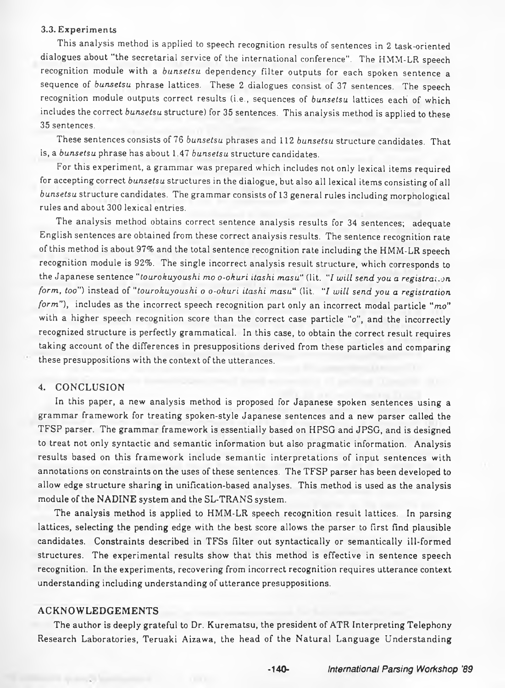#### **3.3. Experiments**

This analysis method is applied to speech recognition results of sentences in 2 task-oriented dialogues about "the secretarial service of the international conference". The HMM-LR speech recognition module with a *bunsetsu* dependency filter outputs for each spoken sentence a sequence of *bunsetsu* phrase lattices. These 2 dialogues consist of 37 sentences. The speech recognition module outputs correct results (i.e., sequences of *bunsetsu* lattices each of which includes the correct *bunsetsu* structure) for 35 sentences. This analysis method is applied to these 35 sentences.

These sentences consists of 76 *bunsetsu* phrases and 112 *bunsetsu* structure candidates. That is, a *bunsetsu* phrase has about 1.47 *bunsetsu* structure candidates.

For this experiment, a grammar was prepared which includes not only lexical items required for accepting correct *bunsetsu* structures in the dialogue, but also all lexical items consisting of all bunsetsu structure candidates. The grammar consists of 13 general rules including morphological rules and about 300 lexical entries.

The analysis method obtains correct sentence analysis results for 34 sentences; adequate English sentences are obtained from these correct analysis results. The sentence recognition rate of this method is about 97% and the total sentence recognition rate including the HMM-LR speech recognition module is 92%. The single incorrect analysis result structure, which corresponds to the Japanese sentence "*tourokuyoushi mo o-okuri itashi masu* ' (lit. "*I will send you a registration form, too")* instead of "*tourokuyoushi o o-okuri itashi masu*" (lit. '7 *will send you a registration form"),* includes as the incorrect speech recognition part only an incorrect modal particle "*mo*" with a higher speech recognition score than the correct case particle "o", and the incorrectly recognized structure is perfectly grammatical. In this case, to obtain the correct result requires taking account of the differences in presuppositions derived from these particles and comparing these presuppositions with the context of the utterances.

## **4. CONCLUSION**

In this paper, a new analysis method is proposed for Japanese spoken sentences using a grammar framework for treating spoken-style Japanese sentences and a new parser called the TFSP parser. The grammar framework is essentially based on HPSG and JPSG, and is designed to treat not only syntactic and semantic information but also pragmatic information. Analysis results based on this framework include semantic interpretations of input sentences with annotations on constraints on the uses of these sentences. The TFSP parser has been developed to allow edge structure sharing in unification-based analyses. This method is used as the analysis module of the NADINE system and the SL-TRANS system.

The analysis method is applied to HMM-LR speech recognition result lattices. In parsing lattices, selecting the pending edge with the best score allows the parser to first find plausible candidates. Constraints described in TFSs filter out syntactically or semantically ill-formed structures. The experimental results show that this method is effective in sentence speech recognition. In the experiments, recovering from incorrect recognition requires utterance context understanding including understanding of utterance presuppositions.

#### **ACKNOWLEDGEMENTS**

The author is deeply grateful to Dr. Kurematsu, the president of ATR Interpreting Telephony Research Laboratories, Teruaki Aizawa, the head of the Natural Language Understanding